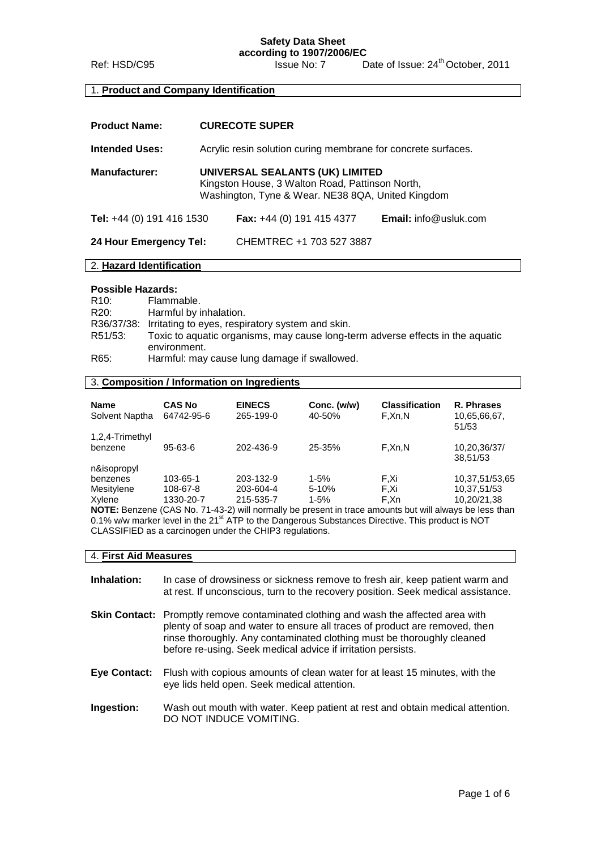**Safety Data Sheet according to 1907/2006/EC**

Ref: HSD/C95 Issue No: 7 Date of Issue: 24<sup>th</sup> October, 2011

### 1. **Product and Company Identification**

| <b>Product Name:</b>      | <b>CURECOTE SUPER</b>                                                                                                                   |                           |                              |
|---------------------------|-----------------------------------------------------------------------------------------------------------------------------------------|---------------------------|------------------------------|
| <b>Intended Uses:</b>     | Acrylic resin solution curing membrane for concrete surfaces.                                                                           |                           |                              |
| <b>Manufacturer:</b>      | UNIVERSAL SEALANTS (UK) LIMITED<br>Kingston House, 3 Walton Road, Pattinson North,<br>Washington, Tyne & Wear. NE38 8QA, United Kingdom |                           |                              |
| Tel: +44 (0) 191 416 1530 |                                                                                                                                         | Fax: +44 (0) 191 415 4377 | <b>Email:</b> info@usluk.com |
| 24 Hour Emergency Tel:    |                                                                                                                                         | CHEMTREC +1 703 527 3887  |                              |

### 2. **Hazard Identification**

#### **Possible Hazards:**

| R <sub>10</sub> : | Flammable.                                                                     |
|-------------------|--------------------------------------------------------------------------------|
| R <sub>20</sub> : | Harmful by inhalation.                                                         |
|                   | R36/37/38: Irritating to eyes, respiratory system and skin.                    |
| R51/53:           | Toxic to aquatic organisms, may cause long-term adverse effects in the aquatic |
|                   | environment.                                                                   |
| R65:              | Harmful: may cause lung damage if swallowed.                                   |

### 3. **Composition / Information on Ingredients**

| <b>Name</b><br>Solvent Naptha                                                                                 | <b>CAS No</b><br>64742-95-6 | <b>EINECS</b><br>265-199-0 | Conc. (w/w)<br>40-50% | <b>Classification</b><br>F.Xn.N | R. Phrases<br>10,65,66,67,<br>51/53 |
|---------------------------------------------------------------------------------------------------------------|-----------------------------|----------------------------|-----------------------|---------------------------------|-------------------------------------|
| 1,2,4-Trimethyl<br>benzene                                                                                    | 95-63-6                     | 202-436-9                  | 25-35%                | F,Xn,N                          | 10,20,36/37/<br>38,51/53            |
| n&isopropyl<br>benzenes                                                                                       | 103-65-1                    | 203-132-9                  | $1 - 5%$              | F.Xi                            | 10,37,51/53,65                      |
| Mesitylene                                                                                                    | 108-67-8                    | 203-604-4                  | $5-10%$               | F.Xi                            | 10,37,51/53                         |
| Xylene                                                                                                        | 1330-20-7                   | 215-535-7                  | $1 - 5%$              | F.Xn                            | 10,20/21,38                         |
| <b>NOTE:</b> Benzene (CAS No. 71-43-2) will normally be present in trace amounts but will always be less than |                             |                            |                       |                                 |                                     |

**NOTE:** Benzene (CAS No. 71-43-2) will normally be present in trace amounts but will always be less than 0.1% w/w marker level in the 21<sup>st</sup> ATP to the Dangerous Substances Directive. This product is NOT CLASSIFIED as a carcinogen under the CHIP3 regulations.

### 4. **First Aid Measures**

- **Inhalation:** In case of drowsiness or sickness remove to fresh air, keep patient warm and at rest. If unconscious, turn to the recovery position. Seek medical assistance.
- **Skin Contact:** Promptly remove contaminated clothing and wash the affected area with plenty of soap and water to ensure all traces of product are removed, then rinse thoroughly. Any contaminated clothing must be thoroughly cleaned before re-using. Seek medical advice if irritation persists.
- **Eye Contact:** Flush with copious amounts of clean water for at least 15 minutes, with the eye lids held open. Seek medical attention.
- **Ingestion:** Wash out mouth with water. Keep patient at rest and obtain medical attention. DO NOT INDUCE VOMITING.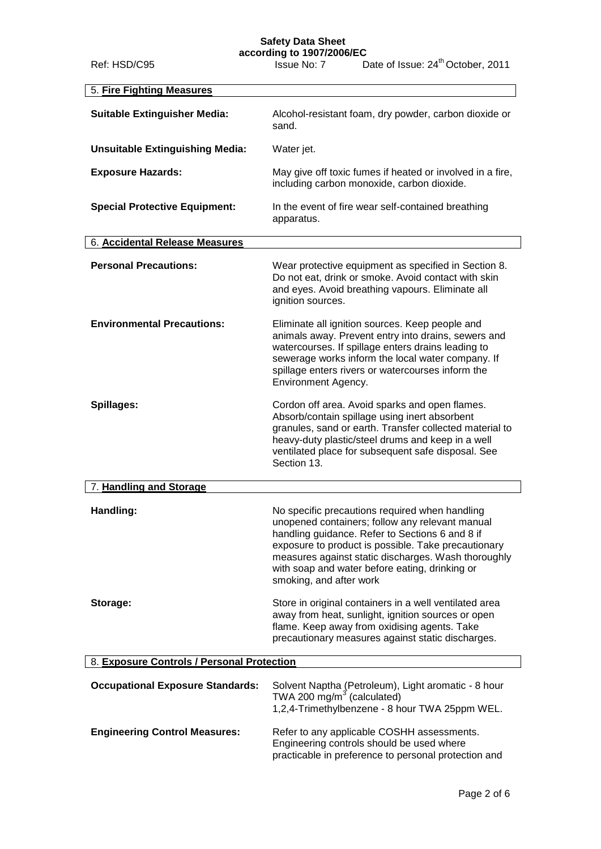## **Safety Data Sheet**

**according to 1907/2006/EC**

| Ref: HSD/C95                               | Issue No: 7                                                                                                                                                                                                                                                                          | Date of Issue: 24 <sup>th</sup> October, 2011                                                                                                                                                                                                                                                                        |  |
|--------------------------------------------|--------------------------------------------------------------------------------------------------------------------------------------------------------------------------------------------------------------------------------------------------------------------------------------|----------------------------------------------------------------------------------------------------------------------------------------------------------------------------------------------------------------------------------------------------------------------------------------------------------------------|--|
| 5. Fire Fighting Measures                  |                                                                                                                                                                                                                                                                                      |                                                                                                                                                                                                                                                                                                                      |  |
| <b>Suitable Extinguisher Media:</b>        | Alcohol-resistant foam, dry powder, carbon dioxide or<br>sand.                                                                                                                                                                                                                       |                                                                                                                                                                                                                                                                                                                      |  |
| <b>Unsuitable Extinguishing Media:</b>     | Water jet.                                                                                                                                                                                                                                                                           |                                                                                                                                                                                                                                                                                                                      |  |
| <b>Exposure Hazards:</b>                   | May give off toxic fumes if heated or involved in a fire,<br>including carbon monoxide, carbon dioxide.                                                                                                                                                                              |                                                                                                                                                                                                                                                                                                                      |  |
| <b>Special Protective Equipment:</b>       | In the event of fire wear self-contained breathing<br>apparatus.                                                                                                                                                                                                                     |                                                                                                                                                                                                                                                                                                                      |  |
| 6. Accidental Release Measures             |                                                                                                                                                                                                                                                                                      |                                                                                                                                                                                                                                                                                                                      |  |
| <b>Personal Precautions:</b>               | ignition sources.                                                                                                                                                                                                                                                                    | Wear protective equipment as specified in Section 8.<br>Do not eat, drink or smoke. Avoid contact with skin<br>and eyes. Avoid breathing vapours. Eliminate all                                                                                                                                                      |  |
| <b>Environmental Precautions:</b>          | Environment Agency.                                                                                                                                                                                                                                                                  | Eliminate all ignition sources. Keep people and<br>animals away. Prevent entry into drains, sewers and<br>watercourses. If spillage enters drains leading to<br>sewerage works inform the local water company. If<br>spillage enters rivers or watercourses inform the                                               |  |
| Spillages:                                 | Cordon off area. Avoid sparks and open flames.<br>Absorb/contain spillage using inert absorbent<br>granules, sand or earth. Transfer collected material to<br>heavy-duty plastic/steel drums and keep in a well<br>ventilated place for subsequent safe disposal. See<br>Section 13. |                                                                                                                                                                                                                                                                                                                      |  |
| 7. Handling and Storage                    |                                                                                                                                                                                                                                                                                      |                                                                                                                                                                                                                                                                                                                      |  |
| Handling:                                  | smoking, and after work                                                                                                                                                                                                                                                              | No specific precautions required when handling<br>unopened containers; follow any relevant manual<br>handling guidance. Refer to Sections 6 and 8 if<br>exposure to product is possible. Take precautionary<br>measures against static discharges. Wash thoroughly<br>with soap and water before eating, drinking or |  |
| Storage:                                   |                                                                                                                                                                                                                                                                                      | Store in original containers in a well ventilated area<br>away from heat, sunlight, ignition sources or open<br>flame. Keep away from oxidising agents. Take<br>precautionary measures against static discharges.                                                                                                    |  |
| 8. Exposure Controls / Personal Protection |                                                                                                                                                                                                                                                                                      |                                                                                                                                                                                                                                                                                                                      |  |
| <b>Occupational Exposure Standards:</b>    | TWA 200 mg/m $3$ (calculated)                                                                                                                                                                                                                                                        | Solvent Naptha (Petroleum), Light aromatic - 8 hour<br>1,2,4-Trimethylbenzene - 8 hour TWA 25ppm WEL.                                                                                                                                                                                                                |  |
| <b>Engineering Control Measures:</b>       |                                                                                                                                                                                                                                                                                      | Refer to any applicable COSHH assessments.<br>Engineering controls should be used where<br>practicable in preference to personal protection and                                                                                                                                                                      |  |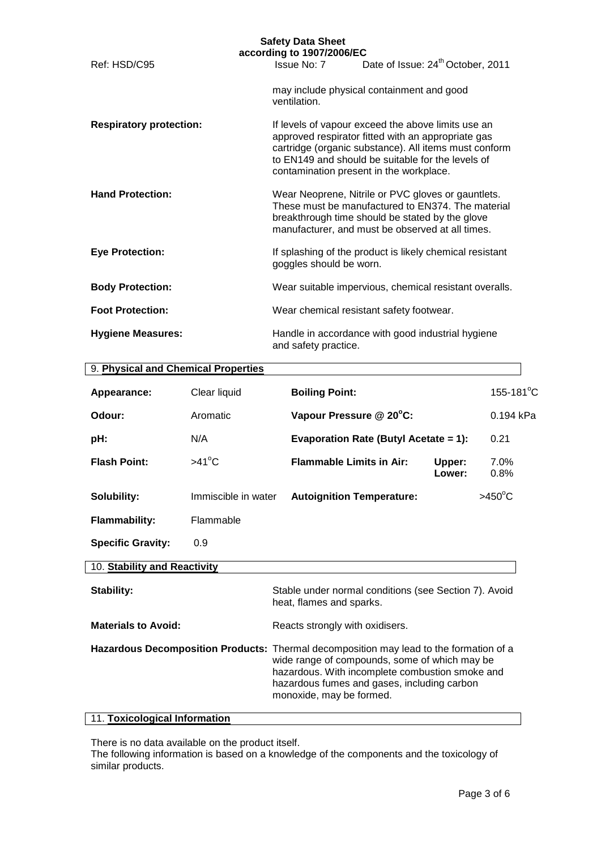|                                     | <b>Safety Data Sheet</b><br>according to 1907/2006/EC |                                                                                                                                                                                                                                                                   |
|-------------------------------------|-------------------------------------------------------|-------------------------------------------------------------------------------------------------------------------------------------------------------------------------------------------------------------------------------------------------------------------|
| Ref: HSD/C95                        | Issue No: 7                                           | Date of Issue: 24 <sup>th</sup> October, 2011                                                                                                                                                                                                                     |
|                                     | ventilation.                                          | may include physical containment and good                                                                                                                                                                                                                         |
| <b>Respiratory protection:</b>      |                                                       | If levels of vapour exceed the above limits use an<br>approved respirator fitted with an appropriate gas<br>cartridge (organic substance). All items must conform<br>to EN149 and should be suitable for the levels of<br>contamination present in the workplace. |
| <b>Hand Protection:</b>             |                                                       | Wear Neoprene, Nitrile or PVC gloves or gauntlets.<br>These must be manufactured to EN374. The material<br>breakthrough time should be stated by the glove<br>manufacturer, and must be observed at all times.                                                    |
| <b>Eye Protection:</b>              | goggles should be worn.                               | If splashing of the product is likely chemical resistant                                                                                                                                                                                                          |
| <b>Body Protection:</b>             |                                                       | Wear suitable impervious, chemical resistant overalls.                                                                                                                                                                                                            |
| <b>Foot Protection:</b>             |                                                       | Wear chemical resistant safety footwear.                                                                                                                                                                                                                          |
| <b>Hygiene Measures:</b>            | and safety practice.                                  | Handle in accordance with good industrial hygiene                                                                                                                                                                                                                 |
| 9. Physical and Chemical Properties |                                                       |                                                                                                                                                                                                                                                                   |

| $\sim$ . Thysical and Onemical Flopernes |                     |                                                                                                                                                                                            |                  |                  |
|------------------------------------------|---------------------|--------------------------------------------------------------------------------------------------------------------------------------------------------------------------------------------|------------------|------------------|
| Appearance:                              | Clear liquid        | <b>Boiling Point:</b>                                                                                                                                                                      |                  | 155-181°C        |
| Odour:                                   | Aromatic            | Vapour Pressure @ 20°C:                                                                                                                                                                    |                  | 0.194 kPa        |
| pH:                                      | N/A                 | <b>Evaporation Rate (Butyl Acetate = 1):</b>                                                                                                                                               |                  | 0.21             |
| <b>Flash Point:</b>                      | $>41^{\circ}$ C     | <b>Flammable Limits in Air:</b>                                                                                                                                                            | Upper:<br>Lower: | $7.0\%$<br>0.8%  |
| Solubility:                              | Immiscible in water | <b>Autoignition Temperature:</b>                                                                                                                                                           |                  | $>450^{\circ}$ C |
| <b>Flammability:</b>                     | Flammable           |                                                                                                                                                                                            |                  |                  |
| <b>Specific Gravity:</b>                 | 0.9                 |                                                                                                                                                                                            |                  |                  |
| 10. Stability and Reactivity             |                     |                                                                                                                                                                                            |                  |                  |
| Stability:                               |                     | Stable under normal conditions (see Section 7). Avoid<br>heat, flames and sparks.                                                                                                          |                  |                  |
| <b>Materials to Avoid:</b>               |                     | Reacts strongly with oxidisers.                                                                                                                                                            |                  |                  |
|                                          |                     | Hazardous Decomposition Products: Thermal decomposition may lead to the formation of a<br>wide range of compounds, some of which may be<br>hazardous. With incomplete combustion smoke and |                  |                  |

## 11. **Toxicological Information**

There is no data available on the product itself.

The following information is based on a knowledge of the components and the toxicology of similar products.

hazardous fumes and gases, including carbon

monoxide, may be formed.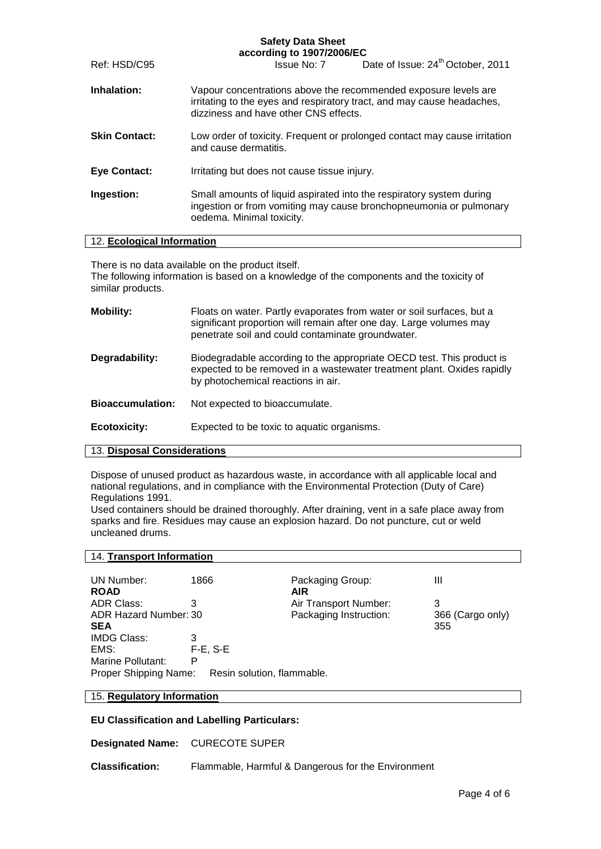## **Safety Data Sheet**

|                      | according to 1907/2006/EC                                                                                                                                                          |  |  |
|----------------------|------------------------------------------------------------------------------------------------------------------------------------------------------------------------------------|--|--|
| Ref: HSD/C95         | Date of Issue: 24 <sup>th</sup> October, 2011<br>Issue No: 7                                                                                                                       |  |  |
| Inhalation:          | Vapour concentrations above the recommended exposure levels are<br>irritating to the eyes and respiratory tract, and may cause headaches,<br>dizziness and have other CNS effects. |  |  |
| <b>Skin Contact:</b> | Low order of toxicity. Frequent or prolonged contact may cause irritation<br>and cause dermatitis.                                                                                 |  |  |
| <b>Eye Contact:</b>  | Irritating but does not cause tissue injury.                                                                                                                                       |  |  |
| Ingestion:           | Small amounts of liquid aspirated into the respiratory system during<br>ingestion or from vomiting may cause bronchopneumonia or pulmonary<br>oedema. Minimal toxicity.            |  |  |

### 12. **Ecological Information**

There is no data available on the product itself.

The following information is based on a knowledge of the components and the toxicity of similar products.

| <b>Mobility:</b>        | Floats on water. Partly evaporates from water or soil surfaces, but a<br>significant proportion will remain after one day. Large volumes may<br>penetrate soil and could contaminate groundwater. |
|-------------------------|---------------------------------------------------------------------------------------------------------------------------------------------------------------------------------------------------|
| Degradability:          | Biodegradable according to the appropriate OECD test. This product is<br>expected to be removed in a wastewater treatment plant. Oxides rapidly<br>by photochemical reactions in air.             |
| <b>Bioaccumulation:</b> | Not expected to bioaccumulate.                                                                                                                                                                    |
| <b>Ecotoxicity:</b>     | Expected to be toxic to aquatic organisms.                                                                                                                                                        |

### 13. **Disposal Considerations**

Dispose of unused product as hazardous waste, in accordance with all applicable local and national regulations, and in compliance with the Environmental Protection (Duty of Care) Regulations 1991.

Used containers should be drained thoroughly. After draining, vent in a safe place away from sparks and fire. Residues may cause an explosion hazard. Do not puncture, cut or weld uncleaned drums.

| 14. Transport Information |                            |                        |                  |
|---------------------------|----------------------------|------------------------|------------------|
|                           |                            |                        |                  |
| UN Number:                | 1866                       | Packaging Group:       | Ш                |
| <b>ROAD</b>               |                            | <b>AIR</b>             |                  |
| <b>ADR Class:</b>         | 3                          | Air Transport Number:  | 3                |
| ADR Hazard Number: 30     |                            | Packaging Instruction: | 366 (Cargo only) |
| <b>SEA</b>                |                            |                        | 355              |
| <b>IMDG Class:</b>        | 3                          |                        |                  |
| EMS:                      | $F-E$ , $S-E$              |                        |                  |
| Marine Pollutant:         | Р                          |                        |                  |
| Proper Shipping Name:     | Resin solution, flammable. |                        |                  |

### 15. **Regulatory Information**

**EU Classification and Labelling Particulars:** 

**Designated Name:** CURECOTE SUPER

**Classification:** Flammable, Harmful & Dangerous for the Environment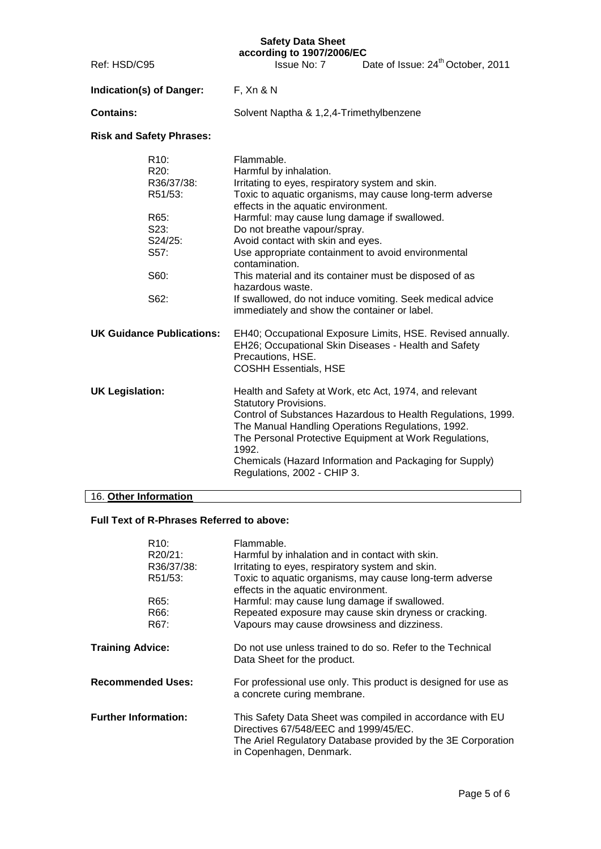# **Safety Data Sheet**

| Ref: HSD/C95                     |                                                                                                       | Safety Data Sheet<br>according to 1907/2006/EC<br>Issue No: 7                                                                                                                                                                                                                                                                                                                                                                                              | Date of Issue: 24 <sup>th</sup> October, 2011                                                                                                                                     |
|----------------------------------|-------------------------------------------------------------------------------------------------------|------------------------------------------------------------------------------------------------------------------------------------------------------------------------------------------------------------------------------------------------------------------------------------------------------------------------------------------------------------------------------------------------------------------------------------------------------------|-----------------------------------------------------------------------------------------------------------------------------------------------------------------------------------|
|                                  | Indication(s) of Danger:                                                                              | F, Xn & N                                                                                                                                                                                                                                                                                                                                                                                                                                                  |                                                                                                                                                                                   |
| <b>Contains:</b>                 |                                                                                                       | Solvent Naptha & 1,2,4-Trimethylbenzene                                                                                                                                                                                                                                                                                                                                                                                                                    |                                                                                                                                                                                   |
|                                  | <b>Risk and Safety Phrases:</b>                                                                       |                                                                                                                                                                                                                                                                                                                                                                                                                                                            |                                                                                                                                                                                   |
|                                  | R <sub>10</sub> :<br>R20:<br>R36/37/38:<br>R51/53:<br>R65:<br>S23:<br>S24/25:<br>S57:<br>S60:<br>S62: | Flammable.<br>Harmful by inhalation.<br>Irritating to eyes, respiratory system and skin.<br>effects in the aquatic environment.<br>Harmful: may cause lung damage if swallowed.<br>Do not breathe vapour/spray.<br>Avoid contact with skin and eyes.<br>Use appropriate containment to avoid environmental<br>contamination.<br>This material and its container must be disposed of as<br>hazardous waste.<br>immediately and show the container or label. | Toxic to aquatic organisms, may cause long-term adverse<br>If swallowed, do not induce vomiting. Seek medical advice                                                              |
| <b>UK Guidance Publications:</b> |                                                                                                       | EH26; Occupational Skin Diseases - Health and Safety<br>Precautions, HSE.<br><b>COSHH Essentials, HSE</b>                                                                                                                                                                                                                                                                                                                                                  | EH40; Occupational Exposure Limits, HSE. Revised annually.                                                                                                                        |
| <b>UK Legislation:</b>           |                                                                                                       | Health and Safety at Work, etc Act, 1974, and relevant<br><b>Statutory Provisions.</b><br>The Manual Handling Operations Regulations, 1992.<br>1992.<br>Regulations, 2002 - CHIP 3.                                                                                                                                                                                                                                                                        | Control of Substances Hazardous to Health Regulations, 1999.<br>The Personal Protective Equipment at Work Regulations,<br>Chemicals (Hazard Information and Packaging for Supply) |
| 16. Other Information            |                                                                                                       |                                                                                                                                                                                                                                                                                                                                                                                                                                                            |                                                                                                                                                                                   |

## 16. **Other Information**

## **Full Text of R-Phrases Referred to above:**

|                         | R <sub>10</sub> :<br>R20/21:<br>R36/37/38:<br>R51/53:<br>R65:<br>R66:<br>R67: | Flammable.<br>Harmful by inhalation and in contact with skin.<br>Irritating to eyes, respiratory system and skin.<br>Toxic to aquatic organisms, may cause long-term adverse<br>effects in the aquatic environment.<br>Harmful: may cause lung damage if swallowed.<br>Repeated exposure may cause skin dryness or cracking.<br>Vapours may cause drowsiness and dizziness. |
|-------------------------|-------------------------------------------------------------------------------|-----------------------------------------------------------------------------------------------------------------------------------------------------------------------------------------------------------------------------------------------------------------------------------------------------------------------------------------------------------------------------|
| <b>Training Advice:</b> |                                                                               | Do not use unless trained to do so. Refer to the Technical<br>Data Sheet for the product.                                                                                                                                                                                                                                                                                   |
|                         | <b>Recommended Uses:</b>                                                      | For professional use only. This product is designed for use as<br>a concrete curing membrane.                                                                                                                                                                                                                                                                               |
|                         | <b>Further Information:</b>                                                   | This Safety Data Sheet was compiled in accordance with EU<br>Directives 67/548/EEC and 1999/45/EC.<br>The Ariel Regulatory Database provided by the 3E Corporation<br>in Copenhagen, Denmark.                                                                                                                                                                               |